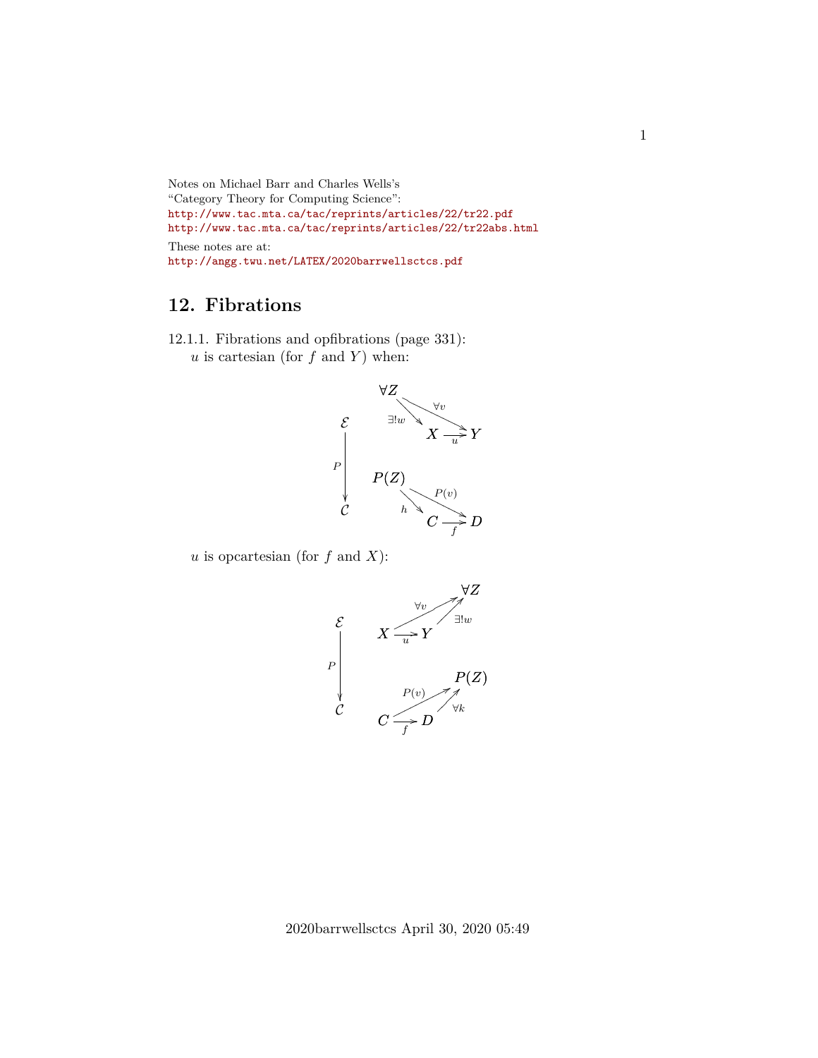```
Notes on Michael Barr and Charles Wells's
"Category Theory for Computing Science":
http://www.tac.mta.ca/tac/reprints/articles/22/tr22.pdf
http://www.tac.mta.ca/tac/reprints/articles/22/tr22abs.html
These notes are at:
http://angg.twu.net/LATEX/2020barrwellsctcs.pdf
```
## **12. Fibrations**

12.1.1. Fibrations and opfibrations (page 331): u is cartesian (for  $f$  and  $Y$ ) when:



u is opcartesian (for f and X):

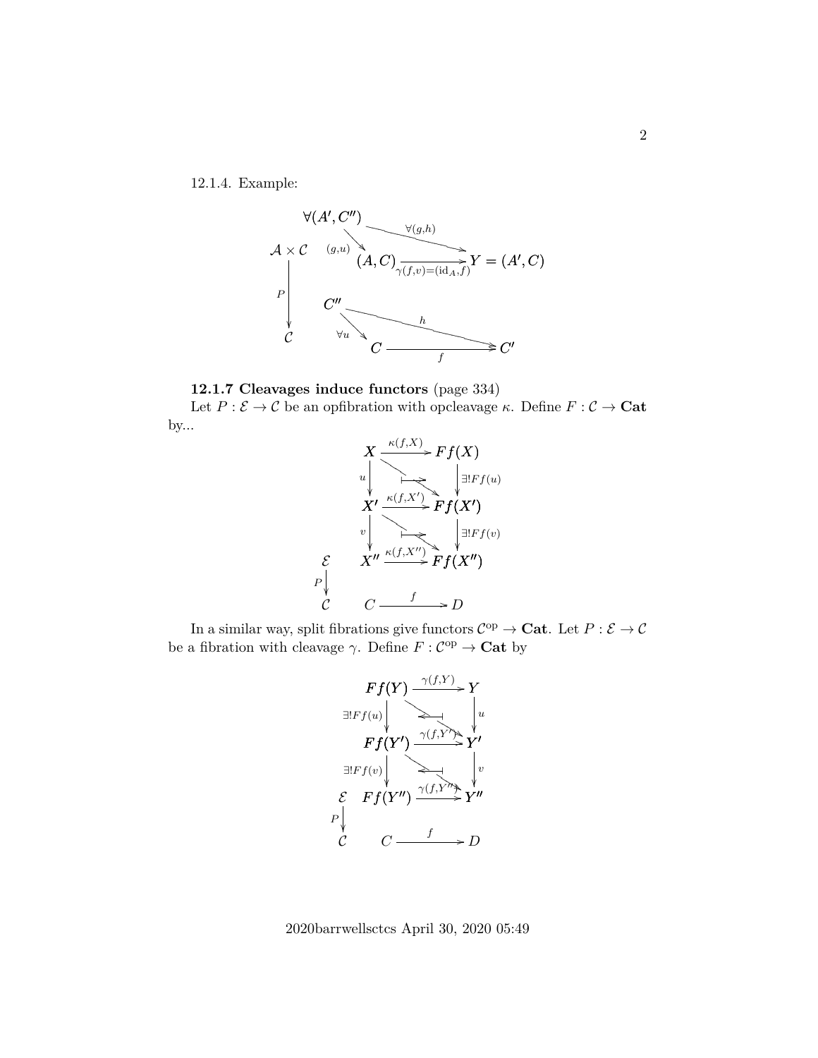12.1.4. Example:





Let  $P : \mathcal{E} \to \mathcal{C}$  be an opfibration with opcleavage  $\kappa$ . Define  $F : \mathcal{C} \to \mathbf{Cat}$ by...



In a similar way, split fibrations give functors  $\mathcal{C}^{\text{op}} \to \mathbf{Cat}$ . Let  $P : \mathcal{E} \to \mathcal{C}$ be a fibration with cleavage  $\gamma$ . Define  $F: \mathcal{C}^{\mathrm{op}} \to \mathbf{Cat}$  by



2020barrwellsctcs April 30, 2020 05:49